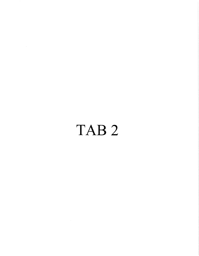## TAB<sub>2</sub>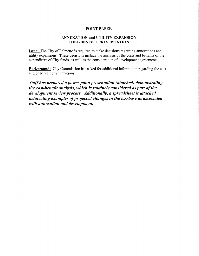## **POINT PAPER**

## **ANNEXATION and UTILITY EXPANSION COST-BENEFIT PRESENTATION**

**Issue:** The City of Palmetto is required to make decisions regarding annexations and utility expansions. These decisions include the analysis of the costs and benefits of the expenditure of City funds, as well as the consideration of development agreements.

**Background:** City Commission has asked for additional information regarding the cost and/or benefit of annexations.

Staff has prepared a power point presentation (attached) demonstrating the cost-benefit analysis, which is routinely considered as part of the development review process. Additionally, a spreadsheet is attached delineating examples of projected changes in the tax-base as associated with annexation and development.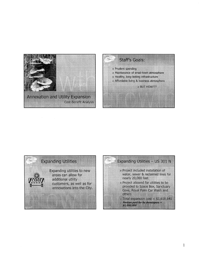





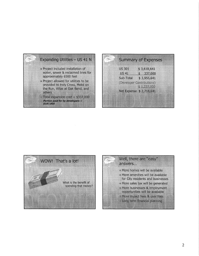

|                         | <b>Summary of Expenses</b>                                     |
|-------------------------|----------------------------------------------------------------|
| 115 301                 | \$3618,641                                                     |
| 11541<br>STE TOLI       | 5 337.000<br>SSIDSTEI                                          |
| <b>TAN DIRECTION</b>    | <b>Control Control</b><br><b>THE REAL PROPERTY AND INCOME.</b> |
| Net Expense \$2,718,641 |                                                                |
|                         |                                                                |
|                         |                                                                |



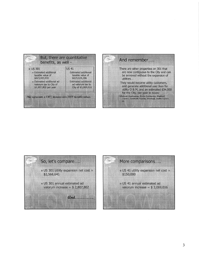





## More comparisons..... . US 41 utility expansion net cost = \$150,000 - US 41 annual estimated ad valorum increase =  $$3,069,016$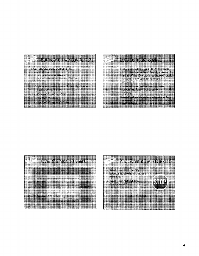





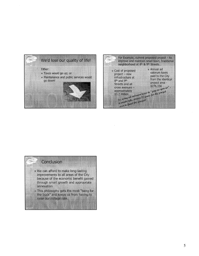

|                                                                                                                                                           | rentter outst 8° & 9° Statts                                                                                                   | – For Evenple, curent provinci project – to<br>improve and maintain small-bown, traditional                       |
|-----------------------------------------------------------------------------------------------------------------------------------------------------------|--------------------------------------------------------------------------------------------------------------------------------|-------------------------------------------------------------------------------------------------------------------|
| - Cost of proposed<br>project = 1619<br>i linkartan 1.291<br><b>Bir and 9-</b><br>Streets and all<br><b>CTORS SHEET LEE</b><br>approximately<br>11 P M WH | Ne come ad patrolement force to " pay as you go"<br>a would take almost 12 years for the project<br>over to feed this project! | Annual arl<br><u> 1946 pro lever</u><br><b>Bard to the City</b><br>from the identical<br>troled a ea<br>* 776 156 |